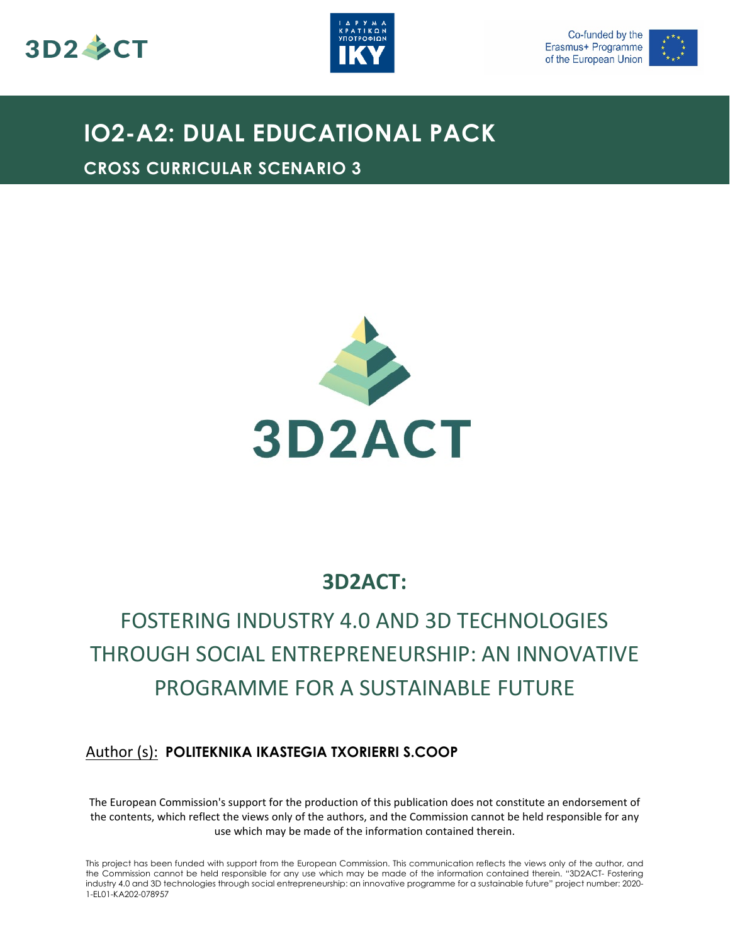





## **IO2-A2: DUAL EDUCATIONAL PACK**

**CROSS CURRICULAR SCENARIO 3**



### **3D2ACT:**

## FOSTERING INDUSTRY 4.0 AND 3D TECHNOLOGIES THROUGH SOCIAL ENTREPRENEURSHIP: AN INNOVATIVE PROGRAMME FOR A SUSTAINABLE FUTURE

### Author (s): **POLITEKNIKA IKASTEGIA TXORIERRI S.COOP**

The European Commission's support for the production of this publication does not constitute an endorsement of the contents, which reflect the views only of the authors, and the Commission cannot be held responsible for any use which may be made of the information contained therein.

This project has been funded with support from the European Commission. This communication reflects the views only of the author, and the Commission cannot be held responsible for any use which may be made of the information contained therein. "3D2ACT- Fostering industry 4.0 and 3D technologies through social entrepreneurship: an innovative programme for a sustainable future" project number: 2020- 1-EL01-KA202-078957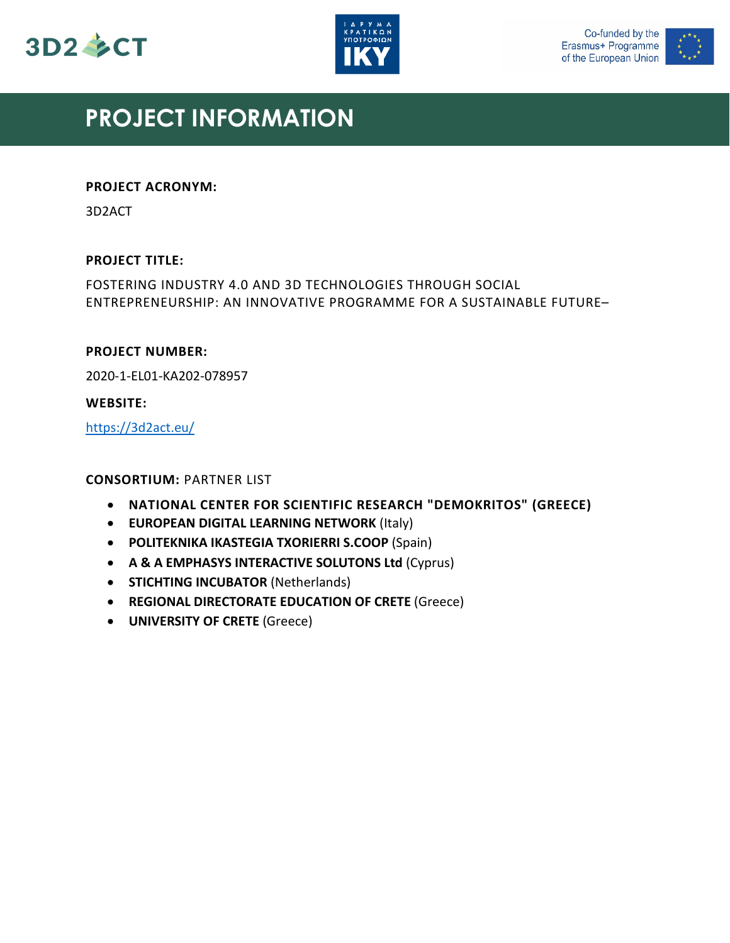





### **PROJECT INFORMATION**

#### **PROJECT ACRONYM:**

3D2ACT

#### **PROJECT TITLE:**

FOSTERING INDUSTRY 4.0 AND 3D TECHNOLOGIES THROUGH SOCIAL ENTREPRENEURSHIP: AN INNOVATIVE PROGRAMME FOR A SUSTAINABLE FUTURE–

#### **PROJECT NUMBER:**

2020-1-EL01-KA202-078957

#### **WEBSITE:**

<https://3d2act.eu/>

#### **CONSORTIUM:** PARTNER LIST

- **NATIONAL CENTER FOR SCIENTIFIC RESEARCH "DEMOKRITOS" (GREECE)**
- **EUROPEAN DIGITAL LEARNING NETWORK** (Italy)
- **POLITEKNIKA IKASTEGIA TXORIERRI S.COOP** (Spain)
- **A & A EMPHASYS INTERACTIVE SOLUTONS Ltd** (Cyprus)
- **STICHTING INCUBATOR** (Netherlands)
- **REGIONAL DIRECTORATE EDUCATION OF CRETE** (Greece)
- **UNIVERSITY OF CRETE** (Greece)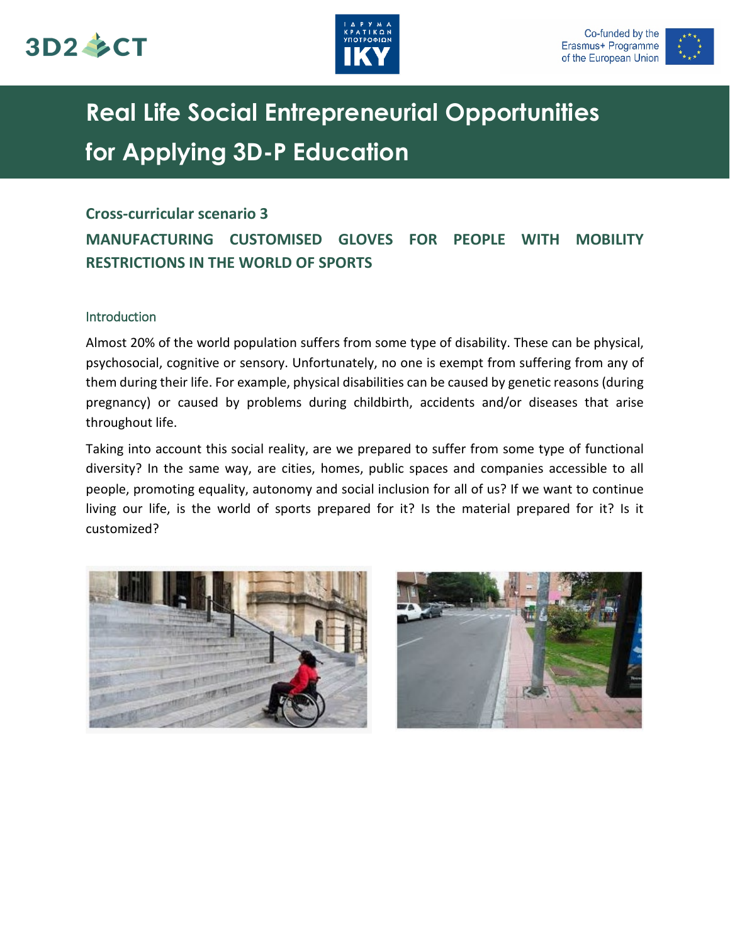





## **Real Life Social Entrepreneurial Opportunities for Applying 3D-P Education**

#### **Cross-curricular scenario 3**

### **MANUFACTURING CUSTOMISED GLOVES FOR PEOPLE WITH MOBILITY RESTRICTIONS IN THE WORLD OF SPORTS**

#### Introduction

Almost 20% of the world population suffers from some type of disability. These can be physical, psychosocial, cognitive or sensory. Unfortunately, no one is exempt from suffering from any of them during their life. For example, physical disabilities can be caused by genetic reasons (during pregnancy) or caused by problems during childbirth, accidents and/or diseases that arise throughout life.

Taking into account this social reality, are we prepared to suffer from some type of functional diversity? In the same way, are cities, homes, public spaces and companies accessible to all people, promoting equality, autonomy and social inclusion for all of us? If we want to continue living our life, is the world of sports prepared for it? Is the material prepared for it? Is it customized?



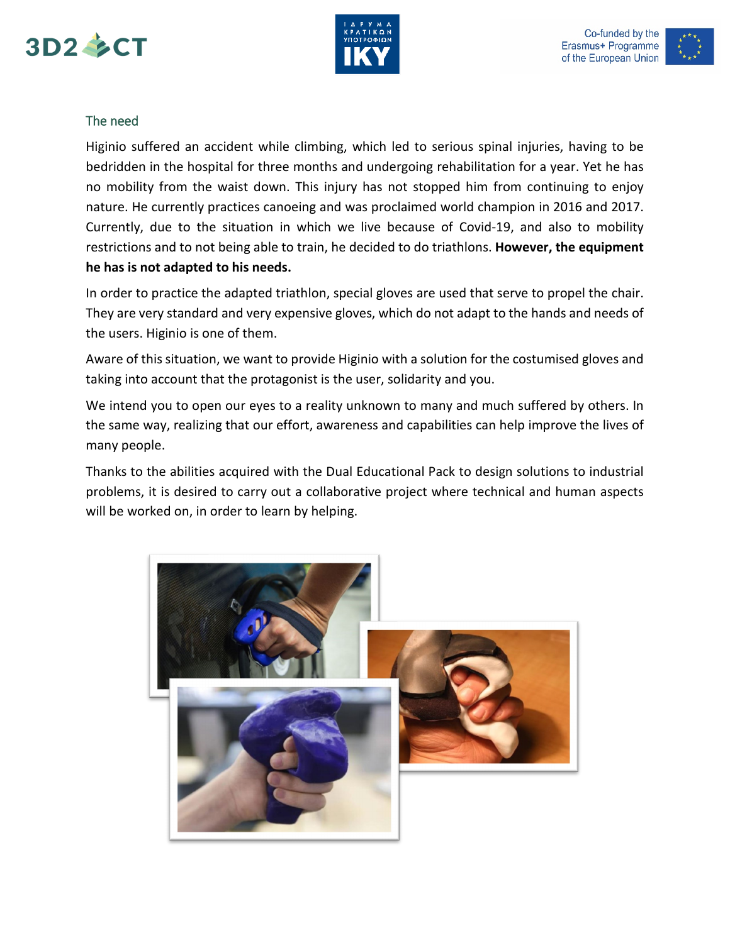





#### The need

Higinio suffered an accident while climbing, which led to serious spinal injuries, having to be bedridden in the hospital for three months and undergoing rehabilitation for a year. Yet he has no mobility from the waist down. This injury has not stopped him from continuing to enjoy nature. He currently practices canoeing and was proclaimed world champion in 2016 and 2017. Currently, due to the situation in which we live because of Covid-19, and also to mobility restrictions and to not being able to train, he decided to do triathlons. **However, the equipment he has is not adapted to his needs.**

In order to practice the adapted triathlon, special gloves are used that serve to propel the chair. They are very standard and very expensive gloves, which do not adapt to the hands and needs of the users. Higinio is one of them.

Aware of this situation, we want to provide Higinio with a solution for the costumised gloves and taking into account that the protagonist is the user, solidarity and you.

We intend you to open our eyes to a reality unknown to many and much suffered by others. In the same way, realizing that our effort, awareness and capabilities can help improve the lives of many people.

Thanks to the abilities acquired with the Dual Educational Pack to design solutions to industrial problems, it is desired to carry out a collaborative project where technical and human aspects will be worked on, in order to learn by helping.

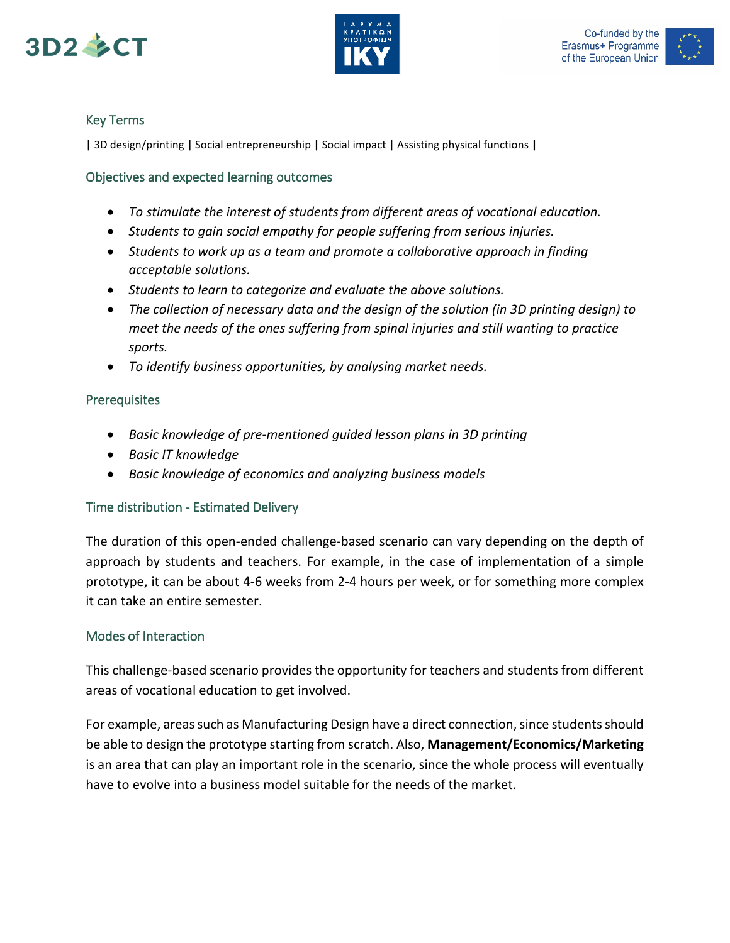





#### Key Terms

**|** 3D design/printing **|** Social entrepreneurship **|** Social impact **|** Assisting physical functions **|**

#### Objectives and expected learning outcomes

- *To stimulate the interest of students from different areas of vocational education.*
- *Students to gain social empathy for people suffering from serious injuries.*
- *Students to work up as a team and promote a collaborative approach in finding acceptable solutions.*
- *Students to learn to categorize and evaluate the above solutions.*
- *The collection of necessary data and the design of the solution (in 3D printing design) to meet the needs of the ones suffering from spinal injuries and still wanting to practice sports.*
- *To identify business opportunities, by analysing market needs.*

#### **Prerequisites**

- *Basic knowledge of pre-mentioned guided lesson plans in 3D printing*
- *Basic IT knowledge*
- *Basic knowledge of economics and analyzing business models*

#### Time distribution - Estimated Delivery

The duration of this open-ended challenge-based scenario can vary depending on the depth of approach by students and teachers. For example, in the case of implementation of a simple prototype, it can be about 4-6 weeks from 2-4 hours per week, or for something more complex it can take an entire semester.

#### Modes of Interaction

This challenge-based scenario provides the opportunity for teachers and students from different areas of vocational education to get involved.

For example, areas such as Manufacturing Design have a direct connection, since students should be able to design the prototype starting from scratch. Also, **Management/Economics/Marketing** is an area that can play an important role in the scenario, since the whole process will eventually have to evolve into a business model suitable for the needs of the market.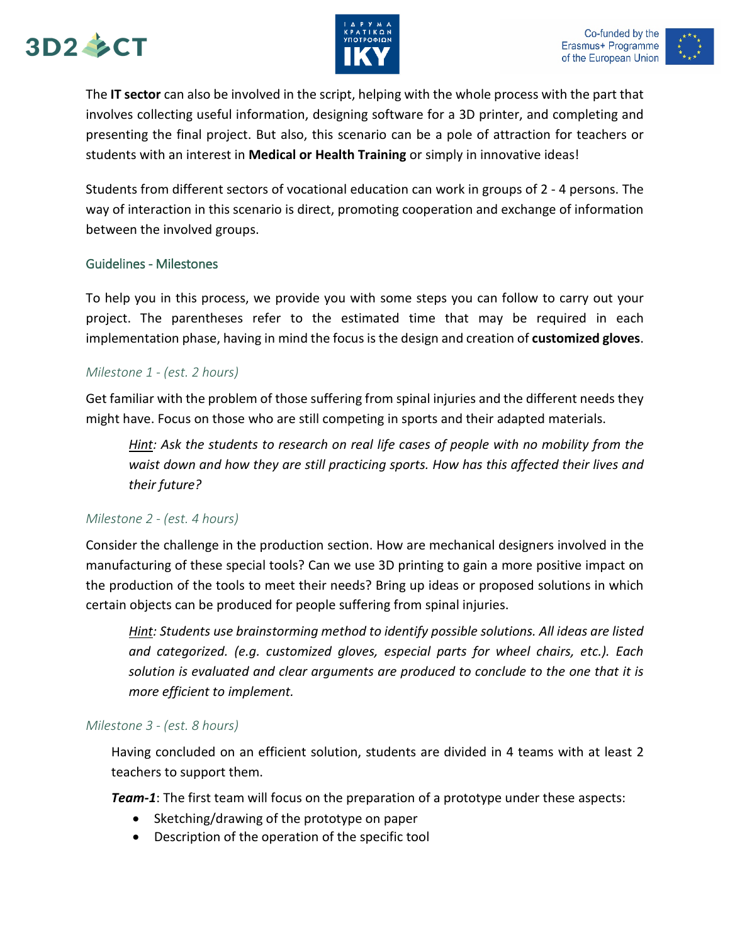# 3D2 SCT





The **IT sector** can also be involved in the script, helping with the whole process with the part that involves collecting useful information, designing software for a 3D printer, and completing and presenting the final project. But also, this scenario can be a pole of attraction for teachers or students with an interest in **Medical or Health Training** or simply in innovative ideas!

Students from different sectors of vocational education can work in groups of 2 - 4 persons. The way of interaction in this scenario is direct, promoting cooperation and exchange of information between the involved groups.

#### Guidelines - Milestones

To help you in this process, we provide you with some steps you can follow to carry out your project. The parentheses refer to the estimated time that may be required in each implementation phase, having in mind the focus is the design and creation of **customized gloves**.

#### *Milestone 1 - (est. 2 hours)*

Get familiar with the problem of those suffering from spinal injuries and the different needs they might have. Focus on those who are still competing in sports and their adapted materials.

*Hint: Ask the students to research on real life cases of people with no mobility from the waist down and how they are still practicing sports. How has this affected their lives and their future?*

#### *Milestone 2 - (est. 4 hours)*

Consider the challenge in the production section. How are mechanical designers involved in the manufacturing of these special tools? Can we use 3D printing to gain a more positive impact on the production of the tools to meet their needs? Bring up ideas or proposed solutions in which certain objects can be produced for people suffering from spinal injuries.

*Hint: Students use brainstorming method to identify possible solutions. All ideas are listed and categorized. (e.g. customized gloves, especial parts for wheel chairs, etc.). Each solution is evaluated and clear arguments are produced to conclude to the one that it is more efficient to implement.*

#### *Milestone 3 - (est. 8 hours)*

Having concluded on an efficient solution, students are divided in 4 teams with at least 2 teachers to support them.

*Team-1*: The first team will focus on the preparation of a prototype under these aspects:

- Sketching/drawing of the prototype on paper
- Description of the operation of the specific tool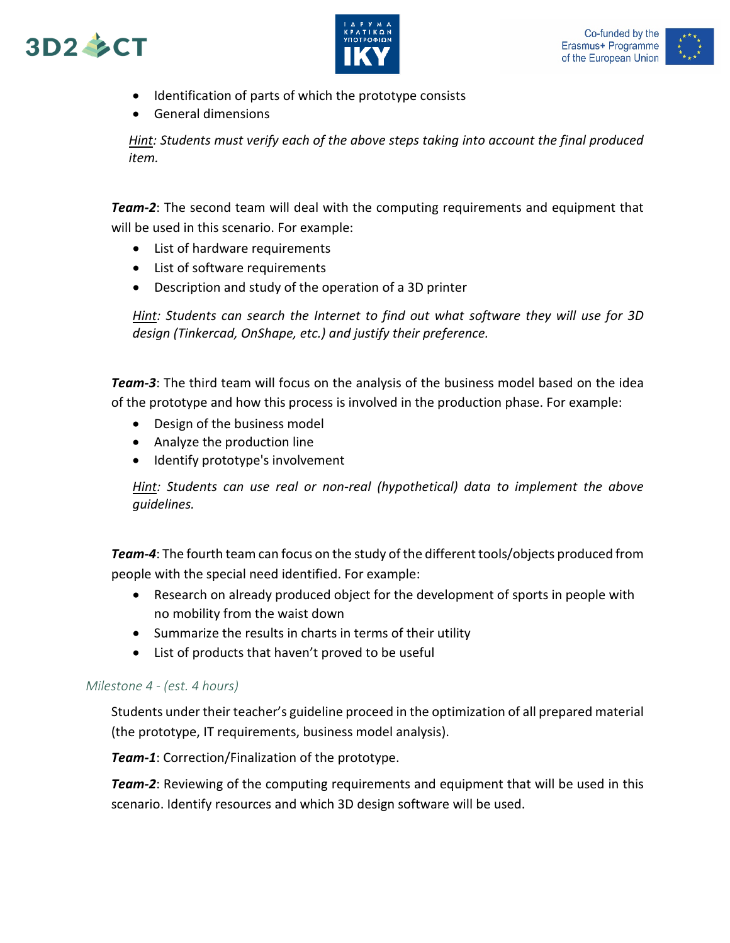



- Identification of parts of which the prototype consists
- General dimensions

*Hint: Students must verify each of the above steps taking into account the final produced item.*

*Team-2*: The second team will deal with the computing requirements and equipment that will be used in this scenario. For example:

- List of hardware requirements
- List of software requirements
- Description and study of the operation of a 3D printer

*Hint: Students can search the Internet to find out what software they will use for 3D design (Tinkercad, OnShape, etc.) and justify their preference.* 

*Team-3*: The third team will focus on the analysis of the business model based on the idea of the prototype and how this process is involved in the production phase. For example:

- Design of the business model
- Analyze the production line
- Identify prototype's involvement

*Hint: Students can use real or non-real (hypothetical) data to implement the above guidelines.*

*Team-4*: The fourth team can focus on the study of the different tools/objects produced from people with the special need identified. For example:

- Research on already produced object for the development of sports in people with no mobility from the waist down
- Summarize the results in charts in terms of their utility
- List of products that haven't proved to be useful

#### *Milestone 4 - (est. 4 hours)*

Students under their teacher's guideline proceed in the optimization of all prepared material (the prototype, IT requirements, business model analysis).

*Team-1*: Correction/Finalization of the prototype.

*Team-2*: Reviewing of the computing requirements and equipment that will be used in this scenario. Identify resources and which 3D design software will be used.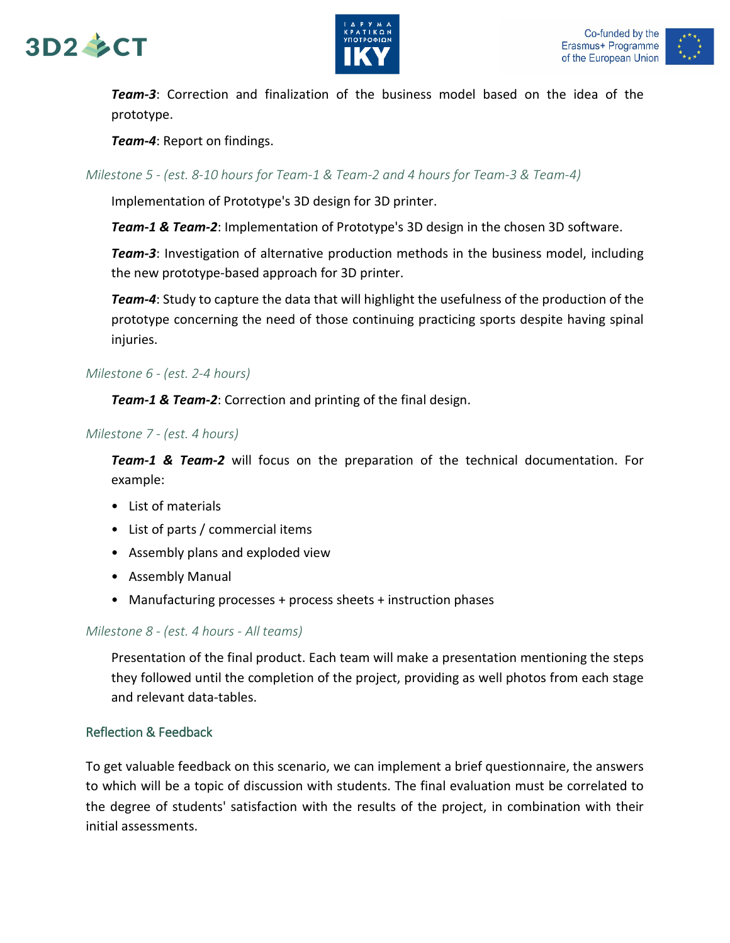# $3D2 \& C T$





*Team-3*: Correction and finalization of the business model based on the idea of the prototype.

*Team-4*: Report on findings.

#### *Milestone 5 - (est. 8-10 hours for Team-1 & Team-2 and 4 hours for Team-3 & Team-4)*

Implementation of Prototype's 3D design for 3D printer.

*Team-1 & Team-2*: Implementation of Prototype's 3D design in the chosen 3D software.

*Team-3*: Investigation of alternative production methods in the business model, including the new prototype-based approach for 3D printer.

*Team-4*: Study to capture the data that will highlight the usefulness of the production of the prototype concerning the need of those continuing practicing sports despite having spinal injuries.

#### *Milestone 6 - (est. 2-4 hours)*

*Team-1 & Team-2*: Correction and printing of the final design.

#### *Milestone 7 - (est. 4 hours)*

*Team-1 & Team-2* will focus on the preparation of the technical documentation. For example:

- List of materials
- List of parts / commercial items
- Assembly plans and exploded view
- Assembly Manual
- Manufacturing processes + process sheets + instruction phases

#### *Milestone 8 - (est. 4 hours - All teams)*

Presentation of the final product. Each team will make a presentation mentioning the steps they followed until the completion of the project, providing as well photos from each stage and relevant data-tables.

#### Reflection & Feedback

To get valuable feedback on this scenario, we can implement a brief questionnaire, the answers to which will be a topic of discussion with students. The final evaluation must be correlated to the degree of students' satisfaction with the results of the project, in combination with their initial assessments.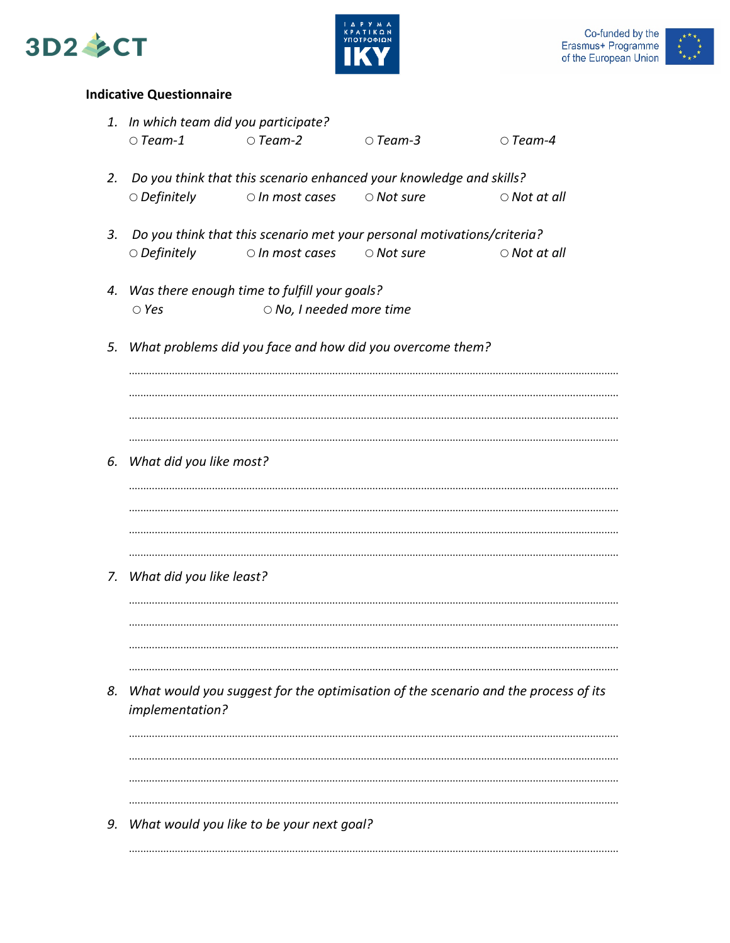





#### **Indicative Questionnaire**

|    | 1. In which team did you participate?                                                                 |                                           |                  |                    |
|----|-------------------------------------------------------------------------------------------------------|-------------------------------------------|------------------|--------------------|
|    | $\circ$ Team-1                                                                                        | $\circ$ Team-2                            | $\circ$ Team-3   | $\circ$ Team-4     |
| 2. | Do you think that this scenario enhanced your knowledge and skills?                                   |                                           |                  |                    |
|    | $\circ$ Definitely                                                                                    | $\circ$ In most cases $\circ$ Not sure    |                  | $\circ$ Not at all |
| 3. | Do you think that this scenario met your personal motivations/criteria?                               |                                           |                  |                    |
|    | $\circ$ Definitely                                                                                    | $\circ$ In most cases                     | $\circ$ Not sure | $\circ$ Not at all |
|    | 4. Was there enough time to fulfill your goals?                                                       |                                           |                  |                    |
|    | $\circ$ Yes                                                                                           | $\circ$ No, I needed more time            |                  |                    |
| 5. | What problems did you face and how did you overcome them?                                             |                                           |                  |                    |
|    |                                                                                                       |                                           |                  |                    |
|    |                                                                                                       |                                           |                  |                    |
|    |                                                                                                       |                                           |                  |                    |
| 6. | What did you like most?                                                                               |                                           |                  |                    |
|    |                                                                                                       |                                           |                  |                    |
|    |                                                                                                       |                                           |                  |                    |
|    |                                                                                                       |                                           |                  |                    |
| 7. | What did you like least?                                                                              |                                           |                  |                    |
|    |                                                                                                       |                                           |                  |                    |
|    |                                                                                                       |                                           |                  |                    |
|    |                                                                                                       |                                           |                  |                    |
| 8. | What would you suggest for the optimisation of the scenario and the process of its<br>implementation? |                                           |                  |                    |
|    |                                                                                                       |                                           |                  |                    |
|    |                                                                                                       |                                           |                  |                    |
|    |                                                                                                       |                                           |                  |                    |
| 9. |                                                                                                       | What would you like to be your next goal? |                  |                    |